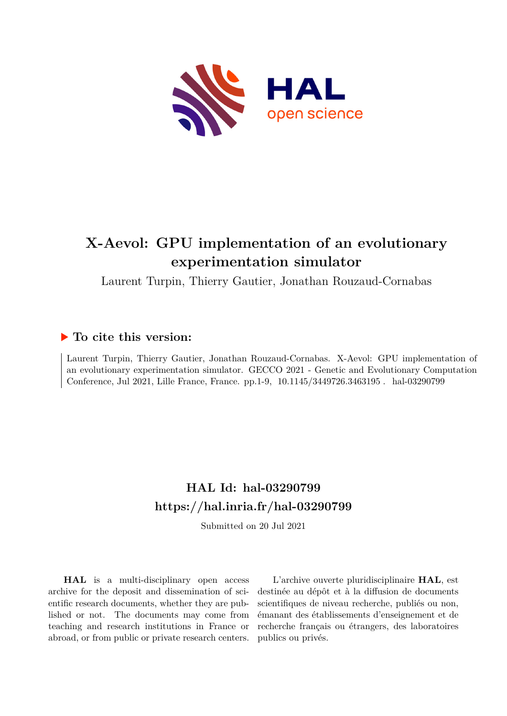

# **X-Aevol: GPU implementation of an evolutionary experimentation simulator**

Laurent Turpin, Thierry Gautier, Jonathan Rouzaud-Cornabas

# **To cite this version:**

Laurent Turpin, Thierry Gautier, Jonathan Rouzaud-Cornabas. X-Aevol: GPU implementation of an evolutionary experimentation simulator. GECCO 2021 - Genetic and Evolutionary Computation Conference, Jul 2021, Lille France, France. pp.1-9, 10.1145/3449726.3463195. hal-03290799

# **HAL Id: hal-03290799 <https://hal.inria.fr/hal-03290799>**

Submitted on 20 Jul 2021

**HAL** is a multi-disciplinary open access archive for the deposit and dissemination of scientific research documents, whether they are published or not. The documents may come from teaching and research institutions in France or abroad, or from public or private research centers.

L'archive ouverte pluridisciplinaire **HAL**, est destinée au dépôt et à la diffusion de documents scientifiques de niveau recherche, publiés ou non, émanant des établissements d'enseignement et de recherche français ou étrangers, des laboratoires publics ou privés.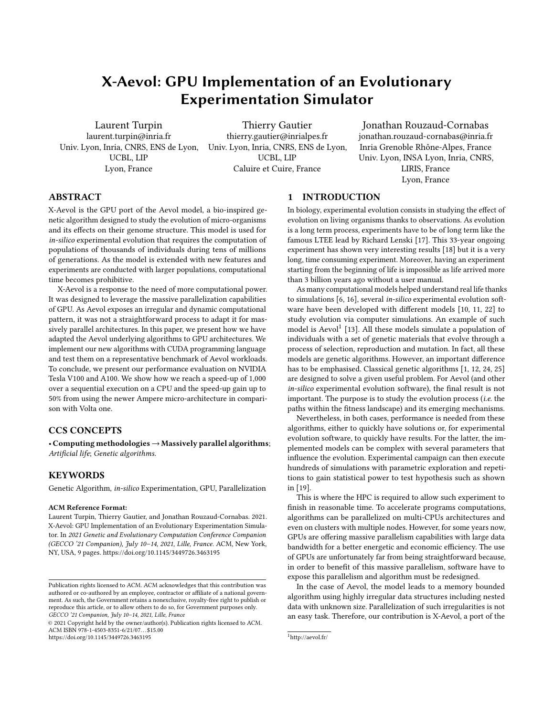# X-Aevol: GPU Implementation of an Evolutionary Experimentation Simulator

Laurent Turpin laurent.turpin@inria.fr Univ. Lyon, Inria, CNRS, ENS de Lyon, UCBL, LIP Lyon, France

Thierry Gautier thierry.gautier@inrialpes.fr Univ. Lyon, Inria, CNRS, ENS de Lyon, UCBL, LIP Caluire et Cuire, France

Jonathan Rouzaud-Cornabas jonathan.rouzaud-cornabas@inria.fr Inria Grenoble Rhône-Alpes, France Univ. Lyon, INSA Lyon, Inria, CNRS, LIRIS, France Lyon, France

## ABSTRACT

X-Aevol is the GPU port of the Aevol model, a bio-inspired genetic algorithm designed to study the evolution of micro-organisms and its effects on their genome structure. This model is used for in-silico experimental evolution that requires the computation of populations of thousands of individuals during tens of millions of generations. As the model is extended with new features and experiments are conducted with larger populations, computational time becomes prohibitive.

X-Aevol is a response to the need of more computational power. It was designed to leverage the massive parallelization capabilities of GPU. As Aevol exposes an irregular and dynamic computational pattern, it was not a straightforward process to adapt it for massively parallel architectures. In this paper, we present how we have adapted the Aevol underlying algorithms to GPU architectures. We implement our new algorithms with CUDA programming language and test them on a representative benchmark of Aevol workloads. To conclude, we present our performance evaluation on NVIDIA Tesla V100 and A100. We show how we reach a speed-up of 1,000 over a sequential execution on a CPU and the speed-up gain up to 50% from using the newer Ampere micro-architecture in comparison with Volta one.

# CCS CONCEPTS

• Computing methodologies→Massively parallel algorithms; Artificial life; Genetic algorithms.

#### **KEYWORDS**

Genetic Algorithm, in-silico Experimentation, GPU, Parallelization

#### ACM Reference Format:

Laurent Turpin, Thierry Gautier, and Jonathan Rouzaud-Cornabas. 2021. X-Aevol: GPU Implementation of an Evolutionary Experimentation Simulator. In 2021 Genetic and Evolutionary Computation Conference Companion (GECCO '21 Companion), July 10–14, 2021, Lille, France. ACM, New York, NY, USA, 9 pages.<https://doi.org/10.1145/3449726.3463195>

#### 1 INTRODUCTION

In biology, experimental evolution consists in studying the effect of evolution on living organisms thanks to observations. As evolution is a long term process, experiments have to be of long term like the famous LTEE lead by Richard Lenski [17]. This 33-year ongoing experiment has shown very interesting results [18] but it is a very long, time consuming experiment. Moreover, having an experiment starting from the beginning of life is impossible as life arrived more than 3 billion years ago without a user manual.

As many computational models helped understand real life thanks to simulations [6, 16], several in-silico experimental evolution software have been developed with different models [10, 11, 22] to study evolution via computer simulations. An example of such model is Aevol<sup>1</sup> [13]. All these models simulate a population of individuals with a set of genetic materials that evolve through a process of selection, reproduction and mutation. In fact, all these models are genetic algorithms. However, an important difference has to be emphasised. Classical genetic algorithms [1, 12, 24, 25] are designed to solve a given useful problem. For Aevol (and other in-silico experimental evolution software), the final result is not important. The purpose is to study the evolution process (i.e. the paths within the fitness landscape) and its emerging mechanisms.

Nevertheless, in both cases, performance is needed from these algorithms, either to quickly have solutions or, for experimental evolution software, to quickly have results. For the latter, the implemented models can be complex with several parameters that influence the evolution. Experimental campaign can then execute hundreds of simulations with parametric exploration and repetitions to gain statistical power to test hypothesis such as shown in [19].

This is where the HPC is required to allow such experiment to finish in reasonable time. To accelerate programs computations, algorithms can be parallelized on multi-CPUs architectures and even on clusters with multiple nodes. However, for some years now, GPUs are offering massive parallelism capabilities with large data bandwidth for a better energetic and economic efficiency. The use of GPUs are unfortunately far from being straightforward because, in order to benefit of this massive parallelism, software have to expose this parallelism and algorithm must be redesigned.

In the case of Aevol, the model leads to a memory bounded algorithm using highly irregular data structures including nested data with unknown size. Parallelization of such irregularities is not an easy task. Therefore, our contribution is X-Aevol, a port of the

Publication rights licensed to ACM. ACM acknowledges that this contribution was authored or co-authored by an employee, contractor or affiliate of a national government. As such, the Government retains a nonexclusive, royalty-free right to publish or reproduce this article, or to allow others to do so, for Government purposes only. GECCO '21 Companion, July 10–14, 2021, Lille, France

<sup>©</sup> 2021 Copyright held by the owner/author(s). Publication rights licensed to ACM. ACM ISBN 978-1-4503-8351-6/21/07. . . \$15.00 <https://doi.org/10.1145/3449726.3463195>

 $1$ http://aevol.fr/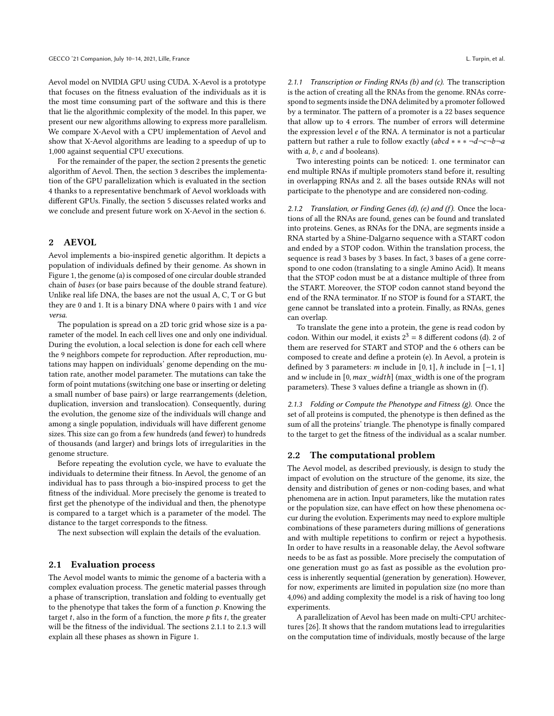Aevol model on NVIDIA GPU using CUDA. X-Aevol is a prototype that focuses on the fitness evaluation of the individuals as it is the most time consuming part of the software and this is there that lie the algorithmic complexity of the model. In this paper, we present our new algorithms allowing to express more parallelism. We compare X-Aevol with a CPU implementation of Aevol and show that X-Aevol algorithms are leading to a speedup of up to 1,000 against sequential CPU executions.

For the remainder of the paper, the section 2 presents the genetic algorithm of Aevol. Then, the section 3 describes the implementation of the GPU parallelization which is evaluated in the section 4 thanks to a representative benchmark of Aevol workloads with different GPUs. Finally, the section 5 discusses related works and we conclude and present future work on X-Aevol in the section 6.

#### 2 AEVOL

Aevol implements a bio-inspired genetic algorithm. It depicts a population of individuals defined by their genome. As shown in Figure 1, the genome (a) is composed of one circular double stranded chain of bases (or base pairs because of the double strand feature). Unlike real life DNA, the bases are not the usual A, C, T or G but they are 0 and 1. It is a binary DNA where 0 pairs with 1 and vice versa.

The population is spread on a 2D toric grid whose size is a parameter of the model. In each cell lives one and only one individual. During the evolution, a local selection is done for each cell where the 9 neighbors compete for reproduction. After reproduction, mutations may happen on individuals' genome depending on the mutation rate, another model parameter. The mutations can take the form of point mutations (switching one base or inserting or deleting a small number of base pairs) or large rearrangements (deletion, duplication, inversion and translocation). Consequently, during the evolution, the genome size of the individuals will change and among a single population, individuals will have different genome sizes. This size can go from a few hundreds (and fewer) to hundreds of thousands (and larger) and brings lots of irregularities in the genome structure.

Before repeating the evolution cycle, we have to evaluate the individuals to determine their fitness. In Aevol, the genome of an individual has to pass through a bio-inspired process to get the fitness of the individual. More precisely the genome is treated to first get the phenotype of the individual and then, the phenotype is compared to a target which is a parameter of the model. The distance to the target corresponds to the fitness.

The next subsection will explain the details of the evaluation.

#### 2.1 Evaluation process

The Aevol model wants to mimic the genome of a bacteria with a complex evaluation process. The genetic material passes through a phase of transcription, translation and folding to eventually get to the phenotype that takes the form of a function  $p$ . Knowing the target  $t$ , also in the form of a function, the more  $p$  fits  $t$ , the greater will be the fitness of the individual. The sections 2.1.1 to 2.1.3 will explain all these phases as shown in Figure 1.

2.1.1 Transcription or Finding RNAs (b) and (c). The transcription is the action of creating all the RNAs from the genome. RNAs correspond to segments inside the DNA delimited by a promoter followed by a terminator. The pattern of a promoter is a 22 bases sequence that allow up to 4 errors. The number of errors will determine the expression level  $e$  of the RNA. A terminator is not a particular pattern but rather a rule to follow exactly ( $abcd$  \* \*  $\neg d\neg c\neg b\neg a$ with  $a, b, c$  and  $d$  booleans).

Two interesting points can be noticed: 1. one terminator can end multiple RNAs if multiple promoters stand before it, resulting in overlapping RNAs and 2. all the bases outside RNAs will not participate to the phenotype and are considered non-coding.

2.1.2 Translation, or Finding Genes (d), (e) and (f). Once the locations of all the RNAs are found, genes can be found and translated into proteins. Genes, as RNAs for the DNA, are segments inside a RNA started by a Shine-Dalgarno sequence with a START codon and ended by a STOP codon. Within the translation process, the sequence is read 3 bases by 3 bases. In fact, 3 bases of a gene correspond to one codon (translating to a single Amino Acid). It means that the STOP codon must be at a distance multiple of three from the START. Moreover, the STOP codon cannot stand beyond the end of the RNA terminator. If no STOP is found for a START, the gene cannot be translated into a protein. Finally, as RNAs, genes can overlap.

To translate the gene into a protein, the gene is read codon by codon. Within our model, it exists  $2^3 = 8$  different codons (d). 2 of them are reserved for START and STOP and the 6 others can be composed to create and define a protein (e). In Aevol, a protein is defined by 3 parameters:  $m$  include in [0, 1],  $h$  include in [−1, 1] and w include in  $[0, max\_width]$  (max\_width is one of the program parameters). These 3 values define a triangle as shown in (f).

2.1.3 Folding or Compute the Phenotype and Fitness  $(g)$ . Once the set of all proteins is computed, the phenotype is then defined as the sum of all the proteins' triangle. The phenotype is finally compared to the target to get the fitness of the individual as a scalar number.

#### 2.2 The computational problem

The Aevol model, as described previously, is design to study the impact of evolution on the structure of the genome, its size, the density and distribution of genes or non-coding bases, and what phenomena are in action. Input parameters, like the mutation rates or the population size, can have effect on how these phenomena occur during the evolution. Experiments may need to explore multiple combinations of these parameters during millions of generations and with multiple repetitions to confirm or reject a hypothesis. In order to have results in a reasonable delay, the Aevol software needs to be as fast as possible. More precisely the computation of one generation must go as fast as possible as the evolution process is inherently sequential (generation by generation). However, for now, experiments are limited in population size (no more than 4,096) and adding complexity the model is a risk of having too long experiments.

A parallelization of Aevol has been made on multi-CPU architectures [26]. It shows that the random mutations lead to irregularities on the computation time of individuals, mostly because of the large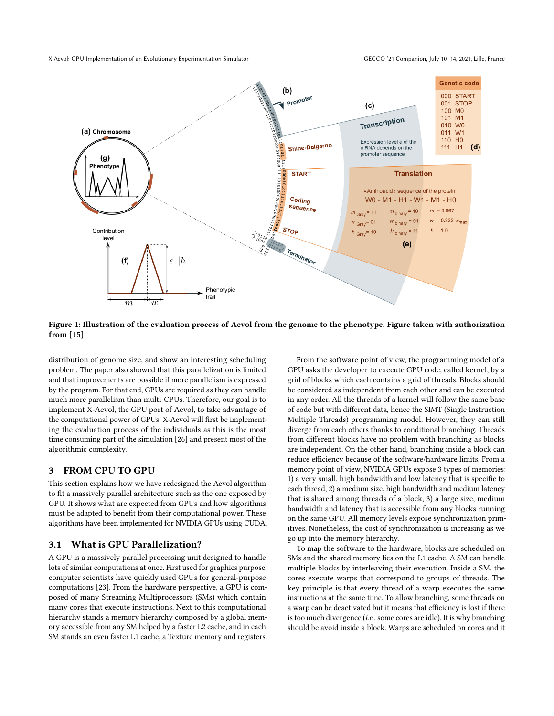

Figure 1: Illustration of the evaluation process of Aevol from the genome to the phenotype. Figure taken with authorization from [15]

distribution of genome size, and show an interesting scheduling problem. The paper also showed that this parallelization is limited and that improvements are possible if more parallelism is expressed by the program. For that end, GPUs are required as they can handle much more parallelism than multi-CPUs. Therefore, our goal is to implement X-Aevol, the GPU port of Aevol, to take advantage of the computational power of GPUs. X-Aevol will first be implementing the evaluation process of the individuals as this is the most time consuming part of the simulation [26] and present most of the algorithmic complexity.

#### 3 FROM CPU TO GPU

This section explains how we have redesigned the Aevol algorithm to fit a massively parallel architecture such as the one exposed by GPU. It shows what are expected from GPUs and how algorithms must be adapted to benefit from their computational power. These algorithms have been implemented for NVIDIA GPUs using CUDA.

### 3.1 What is GPU Parallelization?

A GPU is a massively parallel processing unit designed to handle lots of similar computations at once. First used for graphics purpose, computer scientists have quickly used GPUs for general-purpose computations [23]. From the hardware perspective, a GPU is composed of many Streaming Multiprocessors (SMs) which contain many cores that execute instructions. Next to this computational hierarchy stands a memory hierarchy composed by a global memory accessible from any SM helped by a faster L2 cache, and in each SM stands an even faster L1 cache, a Texture memory and registers.

From the software point of view, the programming model of a GPU asks the developer to execute GPU code, called kernel, by a grid of blocks which each contains a grid of threads. Blocks should be considered as independent from each other and can be executed in any order. All the threads of a kernel will follow the same base of code but with different data, hence the SIMT (Single Instruction Multiple Threads) programming model. However, they can still diverge from each others thanks to conditional branching. Threads from different blocks have no problem with branching as blocks are independent. On the other hand, branching inside a block can reduce efficiency because of the software/hardware limits. From a memory point of view, NVIDIA GPUs expose 3 types of memories: 1) a very small, high bandwidth and low latency that is specific to each thread, 2) a medium size, high bandwidth and medium latency that is shared among threads of a block, 3) a large size, medium bandwidth and latency that is accessible from any blocks running on the same GPU. All memory levels expose synchronization primitives. Nonetheless, the cost of synchronization is increasing as we go up into the memory hierarchy.

To map the software to the hardware, blocks are scheduled on SMs and the shared memory lies on the L1 cache. A SM can handle multiple blocks by interleaving their execution. Inside a SM, the cores execute warps that correspond to groups of threads. The key principle is that every thread of a warp executes the same instructions at the same time. To allow branching, some threads on a warp can be deactivated but it means that efficiency is lost if there is too much divergence (i.e., some cores are idle). It is why branching should be avoid inside a block. Warps are scheduled on cores and it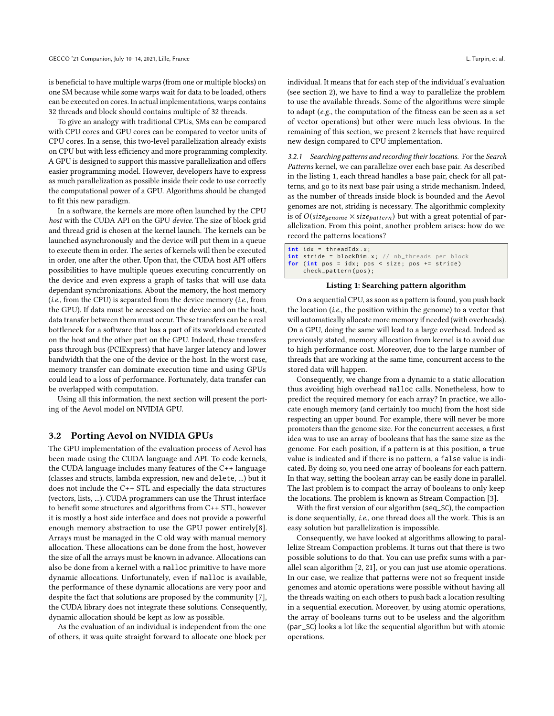is beneficial to have multiple warps (from one or multiple blocks) on one SM because while some warps wait for data to be loaded, others can be executed on cores. In actual implementations, warps contains 32 threads and block should contains multiple of 32 threads.

To give an analogy with traditional CPUs, SMs can be compared with CPU cores and GPU cores can be compared to vector units of CPU cores. In a sense, this two-level parallelization already exists on CPU but with less efficiency and more programming complexity. A GPU is designed to support this massive parallelization and offers easier programming model. However, developers have to express as much parallelization as possible inside their code to use correctly the computational power of a GPU. Algorithms should be changed to fit this new paradigm.

In a software, the kernels are more often launched by the CPU host with the CUDA API on the GPU device. The size of block grid and thread grid is chosen at the kernel launch. The kernels can be launched asynchronously and the device will put them in a queue to execute them in order. The series of kernels will then be executed in order, one after the other. Upon that, the CUDA host API offers possibilities to have multiple queues executing concurrently on the device and even express a graph of tasks that will use data dependant synchronizations. About the memory, the host memory (*i.e.*, from the CPU) is separated from the device memory (*i.e.*, from the GPU). If data must be accessed on the device and on the host, data transfer between them must occur. These transfers can be a real bottleneck for a software that has a part of its workload executed on the host and the other part on the GPU. Indeed, these transfers pass through bus (PCIExpress) that have larger latency and lower bandwidth that the one of the device or the host. In the worst case, memory transfer can dominate execution time and using GPUs could lead to a loss of performance. Fortunately, data transfer can be overlapped with computation.

Using all this information, the next section will present the porting of the Aevol model on NVIDIA GPU.

#### 3.2 Porting Aevol on NVIDIA GPUs

The GPU implementation of the evaluation process of Aevol has been made using the CUDA language and API. To code kernels, the CUDA language includes many features of the C++ language (classes and structs, lambda expression, new and delete, ...) but it does not include the C++ STL and especially the data structures (vectors, lists, ...). CUDA programmers can use the Thrust interface to benefit some structures and algorithms from C++ STL, however it is mostly a host side interface and does not provide a powerful enough memory abstraction to use the GPU power entirely[8]. Arrays must be managed in the C old way with manual memory allocation. These allocations can be done from the host, however the size of all the arrays must be known in advance. Allocations can also be done from a kernel with a malloc primitive to have more dynamic allocations. Unfortunately, even if malloc is available, the performance of these dynamic allocations are very poor and despite the fact that solutions are proposed by the community [7], the CUDA library does not integrate these solutions. Consequently, dynamic allocation should be kept as low as possible.

As the evaluation of an individual is independent from the one of others, it was quite straight forward to allocate one block per individual. It means that for each step of the individual's evaluation (see section 2), we have to find a way to parallelize the problem to use the available threads. Some of the algorithms were simple to adapt (e.g., the computation of the fitness can be seen as a set of vector operations) but other were much less obvious. In the remaining of this section, we present 2 kernels that have required new design compared to CPU implementation.

3.2.1 Searching patterns and recording their locations. For the Search Patterns kernel, we can parallelize over each base pair. As described in the listing 1, each thread handles a base pair, check for all patterns, and go to its next base pair using a stride mechanism. Indeed, as the number of threads inside block is bounded and the Aevol genomes are not, striding is necessary. The algorithmic complexity is of  $O(size_{genome} \times size_{pattern})$  but with a great potential of parallelization. From this point, another problem arises: how do we record the patterns locations?

```
int idx = threadIdx . x ;
int stride = blockDim.x; // nb_threads per block
for ( int pos = idx ; pos < size ; pos += stride )
    check_pattern ( pos ) ;
```
#### Listing 1: Searching pattern algorithm

On a sequential CPU, as soon as a pattern is found, you push back the location (i.e., the position within the genome) to a vector that will automatically allocate more memory if needed (with overheads). On a GPU, doing the same will lead to a large overhead. Indeed as previously stated, memory allocation from kernel is to avoid due to high performance cost. Moreover, due to the large number of threads that are working at the same time, concurrent access to the stored data will happen.

Consequently, we change from a dynamic to a static allocation thus avoiding high overhead malloc calls. Nonetheless, how to predict the required memory for each array? In practice, we allocate enough memory (and certainly too much) from the host side respecting an upper bound. For example, there will never be more promoters than the genome size. For the concurrent accesses, a first idea was to use an array of booleans that has the same size as the genome. For each position, if a pattern is at this position, a true value is indicated and if there is no pattern, a false value is indicated. By doing so, you need one array of booleans for each pattern. In that way, setting the boolean array can be easily done in parallel. The last problem is to compact the array of booleans to only keep the locations. The problem is known as Stream Compaction [3].

With the first version of our algorithm (seq\_SC), the compaction is done sequentially, i.e., one thread does all the work. This is an easy solution but parallelization is impossible.

Consequently, we have looked at algorithms allowing to parallelize Stream Compaction problems. It turns out that there is two possible solutions to do that. You can use prefix sums with a parallel scan algorithm [2, 21], or you can just use atomic operations. In our case, we realize that patterns were not so frequent inside genomes and atomic operations were possible without having all the threads waiting on each others to push back a location resulting in a sequential execution. Moreover, by using atomic operations, the array of booleans turns out to be useless and the algorithm (par\_SC) looks a lot like the sequential algorithm but with atomic operations.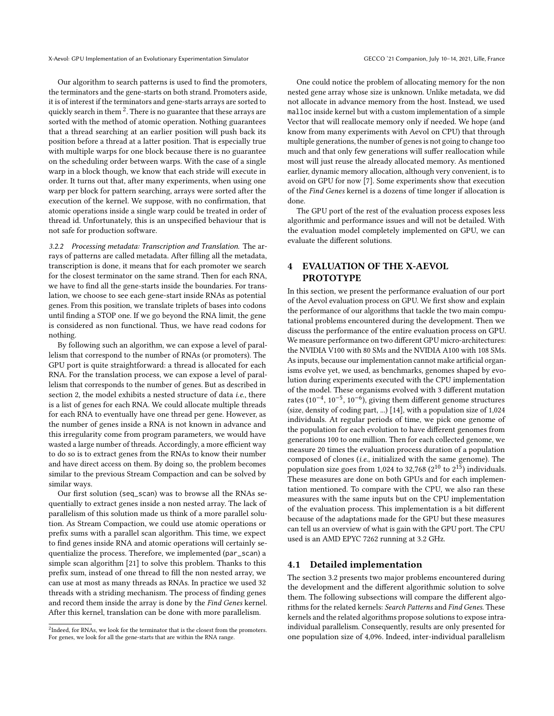X-Aevol: GPU Implementation of an Evolutionary Experimentation Simulator GECCO '21 Companion, July 10-14, 2021, Lille, France

Our algorithm to search patterns is used to find the promoters, the terminators and the gene-starts on both strand. Promoters aside, it is of interest if the terminators and gene-starts arrays are sorted to quickly search in them  $^2.$  There is no guarantee that these arrays are sorted with the method of atomic operation. Nothing guarantees that a thread searching at an earlier position will push back its position before a thread at a latter position. That is especially true with multiple warps for one block because there is no guarantee on the scheduling order between warps. With the case of a single warp in a block though, we know that each stride will execute in order. It turns out that, after many experiments, when using one warp per block for pattern searching, arrays were sorted after the execution of the kernel. We suppose, with no confirmation, that atomic operations inside a single warp could be treated in order of thread id. Unfortunately, this is an unspecified behaviour that is not safe for production software.

3.2.2 Processing metadata: Transcription and Translation. The arrays of patterns are called metadata. After filling all the metadata, transcription is done, it means that for each promoter we search for the closest terminator on the same strand. Then for each RNA, we have to find all the gene-starts inside the boundaries. For translation, we choose to see each gene-start inside RNAs as potential genes. From this position, we translate triplets of bases into codons until finding a STOP one. If we go beyond the RNA limit, the gene is considered as non functional. Thus, we have read codons for nothing.

By following such an algorithm, we can expose a level of parallelism that correspond to the number of RNAs (or promoters). The GPU port is quite straightforward: a thread is allocated for each RNA. For the translation process, we can expose a level of parallelism that corresponds to the number of genes. But as described in section 2, the model exhibits a nested structure of data i.e., there is a list of genes for each RNA. We could allocate multiple threads for each RNA to eventually have one thread per gene. However, as the number of genes inside a RNA is not known in advance and this irregularity come from program parameters, we would have wasted a large number of threads. Accordingly, a more efficient way to do so is to extract genes from the RNAs to know their number and have direct access on them. By doing so, the problem becomes similar to the previous Stream Compaction and can be solved by similar ways.

Our first solution (seq\_scan) was to browse all the RNAs sequentially to extract genes inside a non nested array. The lack of parallelism of this solution made us think of a more parallel solution. As Stream Compaction, we could use atomic operations or prefix sums with a parallel scan algorithm. This time, we expect to find genes inside RNA and atomic operations will certainly sequentialize the process. Therefore, we implemented (par\_scan) a simple scan algorithm [21] to solve this problem. Thanks to this prefix sum, instead of one thread to fill the non nested array, we can use at most as many threads as RNAs. In practice we used 32 threads with a striding mechanism. The process of finding genes and record them inside the array is done by the Find Genes kernel. After this kernel, translation can be done with more parallelism.

One could notice the problem of allocating memory for the non nested gene array whose size is unknown. Unlike metadata, we did not allocate in advance memory from the host. Instead, we used malloc inside kernel but with a custom implementation of a simple Vector that will reallocate memory only if needed. We hope (and know from many experiments with Aevol on CPU) that through multiple generations, the number of genes is not going to change too much and that only few generations will suffer reallocation while most will just reuse the already allocated memory. As mentioned earlier, dynamic memory allocation, although very convenient, is to avoid on GPU for now [7]. Some experiments show that execution of the Find Genes kernel is a dozens of time longer if allocation is done.

The GPU port of the rest of the evaluation process exposes less algorithmic and performance issues and will not be detailed. With the evaluation model completely implemented on GPU, we can evaluate the different solutions.

# 4 EVALUATION OF THE X-AEVOL PROTOTYPE

In this section, we present the performance evaluation of our port of the Aevol evaluation process on GPU. We first show and explain the performance of our algorithms that tackle the two main computational problems encountered during the development. Then we discuss the performance of the entire evaluation process on GPU. We measure performance on two different GPU micro-architectures: the NVIDIA V100 with 80 SMs and the NVIDIA A100 with 108 SMs. As inputs, because our implementation cannot make artificial organisms evolve yet, we used, as benchmarks, genomes shaped by evolution during experiments executed with the CPU implementation of the model. These organisms evolved with 3 different mutation rates (10−<sup>4</sup> , 10−<sup>5</sup> , 10−<sup>6</sup> ), giving them different genome structures (size, density of coding part, ...) [14], with a population size of 1,024 individuals. At regular periods of time, we pick one genome of the population for each evolution to have different genomes from generations 100 to one million. Then for each collected genome, we measure 20 times the evaluation process duration of a population composed of clones (i.e., initialized with the same genome). The population size goes from 1,024 to 32,768 (2 $^{10}$  to  $2^{15}$ ) individuals. These measures are done on both GPUs and for each implementation mentioned. To compare with the CPU, we also ran these measures with the same inputs but on the CPU implementation of the evaluation process. This implementation is a bit different because of the adaptations made for the GPU but these measures can tell us an overview of what is gain with the GPU port. The CPU used is an AMD EPYC 7262 running at 3.2 GHz.

#### 4.1 Detailed implementation

The section 3.2 presents two major problems encountered during the development and the different algorithmic solution to solve them. The following subsections will compare the different algorithms for the related kernels: Search Patterns and Find Genes. These kernels and the related algorithms propose solutions to expose intraindividual parallelism. Consequently, results are only presented for one population size of 4,096. Indeed, inter-individual parallelism

 ${}^{2}$ Indeed, for RNAs, we look for the terminator that is the closest from the promoters. For genes, we look for all the gene-starts that are within the RNA range.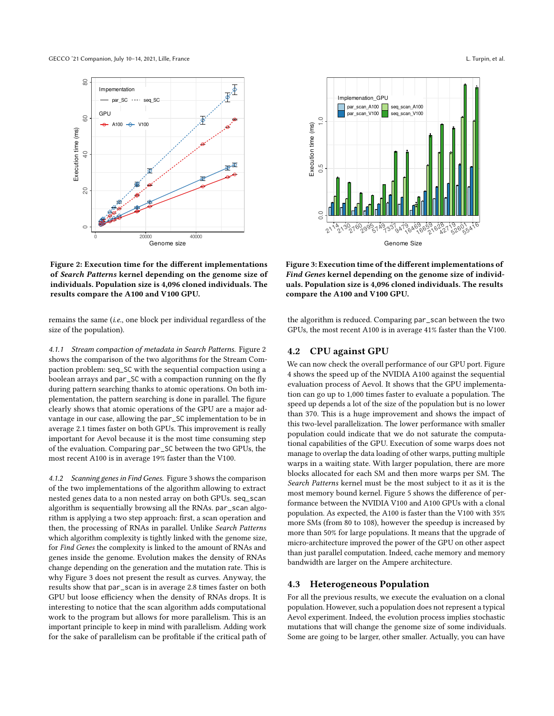GECCO '21 Companion, July 10-14, 2021, Lille, France L. Turpin, et al. Companion, July 10-14, 2021, Lille, France



Figure 2: Execution time for the different implementations of Search Patterns kernel depending on the genome size of individuals. Population size is 4,096 cloned individuals. The results compare the A100 and V100 GPU.

remains the same (i.e., one block per individual regardless of the size of the population).

4.1.1 Stream compaction of metadata in Search Patterns. Figure 2 shows the comparison of the two algorithms for the Stream Compaction problem: seq\_SC with the sequential compaction using a boolean arrays and par\_SC with a compaction running on the fly during pattern searching thanks to atomic operations. On both implementation, the pattern searching is done in parallel. The figure clearly shows that atomic operations of the GPU are a major advantage in our case, allowing the par\_SC implementation to be in average 2.1 times faster on both GPUs. This improvement is really important for Aevol because it is the most time consuming step of the evaluation. Comparing par\_SC between the two GPUs, the most recent A100 is in average 19% faster than the V100.

4.1.2 Scanning genes in Find Genes. Figure 3 shows the comparison of the two implementations of the algorithm allowing to extract nested genes data to a non nested array on both GPUs. seq\_scan algorithm is sequentially browsing all the RNAs. par\_scan algorithm is applying a two step approach: first, a scan operation and then, the processing of RNAs in parallel. Unlike Search Patterns which algorithm complexity is tightly linked with the genome size, for Find Genes the complexity is linked to the amount of RNAs and genes inside the genome. Evolution makes the density of RNAs change depending on the generation and the mutation rate. This is why Figure 3 does not present the result as curves. Anyway, the results show that par\_scan is in average 2.8 times faster on both GPU but loose efficiency when the density of RNAs drops. It is interesting to notice that the scan algorithm adds computational work to the program but allows for more parallelism. This is an important principle to keep in mind with parallelism. Adding work for the sake of parallelism can be profitable if the critical path of



Figure 3: Execution time of the different implementations of Find Genes kernel depending on the genome size of individuals. Population size is 4,096 cloned individuals. The results compare the A100 and V100 GPU.

the algorithm is reduced. Comparing par\_scan between the two GPUs, the most recent A100 is in average 41% faster than the V100.

## 4.2 CPU against GPU

We can now check the overall performance of our GPU port. Figure 4 shows the speed up of the NVIDIA A100 against the sequential evaluation process of Aevol. It shows that the GPU implementation can go up to 1,000 times faster to evaluate a population. The speed up depends a lot of the size of the population but is no lower than 370. This is a huge improvement and shows the impact of this two-level parallelization. The lower performance with smaller population could indicate that we do not saturate the computational capabilities of the GPU. Execution of some warps does not manage to overlap the data loading of other warps, putting multiple warps in a waiting state. With larger population, there are more blocks allocated for each SM and then more warps per SM. The Search Patterns kernel must be the most subject to it as it is the most memory bound kernel. Figure 5 shows the difference of performance between the NVIDIA V100 and A100 GPUs with a clonal population. As expected, the A100 is faster than the V100 with 35% more SMs (from 80 to 108), however the speedup is increased by more than 50% for large populations. It means that the upgrade of micro-architecture improved the power of the GPU on other aspect than just parallel computation. Indeed, cache memory and memory bandwidth are larger on the Ampere architecture.

#### 4.3 Heterogeneous Population

For all the previous results, we execute the evaluation on a clonal population. However, such a population does not represent a typical Aevol experiment. Indeed, the evolution process implies stochastic mutations that will change the genome size of some individuals. Some are going to be larger, other smaller. Actually, you can have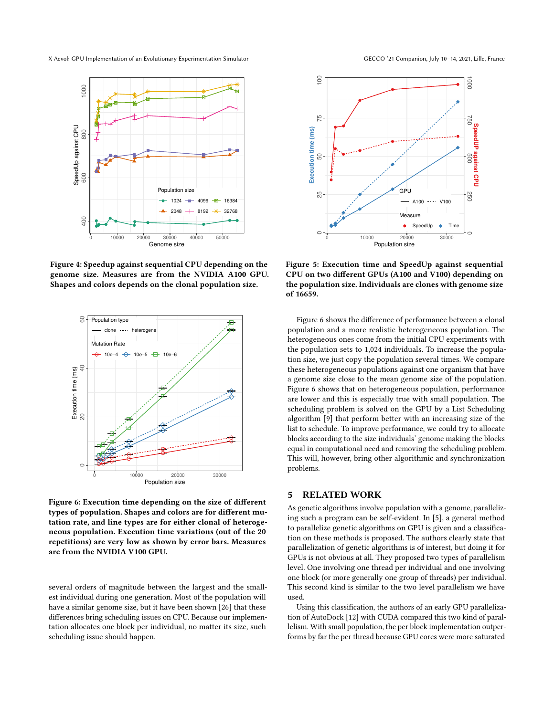X-Aevol: GPU Implementation of an Evolutionary Experimentation Simulator GECCO '21 Companion, July 10-14, 2021, Lille, France



Figure 4: Speedup against sequential CPU depending on the genome size. Measures are from the NVIDIA A100 GPU. Shapes and colors depends on the clonal population size.



Figure 6: Execution time depending on the size of different types of population. Shapes and colors are for different mutation rate, and line types are for either clonal of heterogeneous population. Execution time variations (out of the 20 repetitions) are very low as shown by error bars. Measures are from the NVIDIA V100 GPU.

several orders of magnitude between the largest and the smallest individual during one generation. Most of the population will have a similar genome size, but it have been shown [26] that these differences bring scheduling issues on CPU. Because our implementation allocates one block per individual, no matter its size, such scheduling issue should happen.



Figure 5: Execution time and SpeedUp against sequential CPU on two different GPUs (A100 and V100) depending on the population size. Individuals are clones with genome size of 16659.

Figure 6 shows the difference of performance between a clonal population and a more realistic heterogeneous population. The heterogeneous ones come from the initial CPU experiments with the population sets to 1,024 individuals. To increase the population size, we just copy the population several times. We compare these heterogeneous populations against one organism that have a genome size close to the mean genome size of the population. Figure 6 shows that on heterogeneous population, performance are lower and this is especially true with small population. The scheduling problem is solved on the GPU by a List Scheduling algorithm [9] that perform better with an increasing size of the list to schedule. To improve performance, we could try to allocate blocks according to the size individuals' genome making the blocks equal in computational need and removing the scheduling problem. This will, however, bring other algorithmic and synchronization problems.

### 5 RELATED WORK

As genetic algorithms involve population with a genome, parallelizing such a program can be self-evident. In [5], a general method to parallelize genetic algorithms on GPU is given and a classification on these methods is proposed. The authors clearly state that parallelization of genetic algorithms is of interest, but doing it for GPUs is not obvious at all. They proposed two types of parallelism level. One involving one thread per individual and one involving one block (or more generally one group of threads) per individual. This second kind is similar to the two level parallelism we have used.

Using this classification, the authors of an early GPU parallelization of AutoDock [12] with CUDA compared this two kind of parallelism. With small population, the per block implementation outperforms by far the per thread because GPU cores were more saturated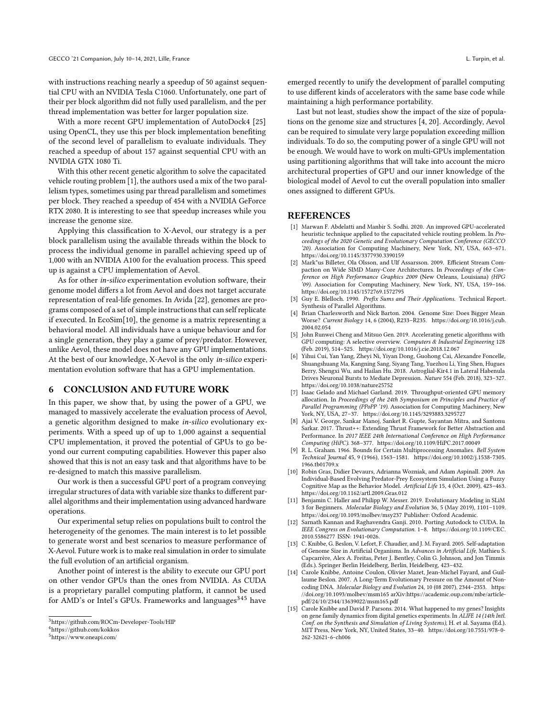with instructions reaching nearly a speedup of 50 against sequential CPU with an NVIDIA Tesla C1060. Unfortunately, one part of their per block algorithm did not fully used parallelism, and the per thread implementation was better for larger population size.

With a more recent GPU implementation of AutoDock4 [25] using OpenCL, they use this per block implementation benefiting of the second level of parallelism to evaluate individuals. They reached a speedup of about 157 against sequential CPU with an NVIDIA GTX 1080 Ti.

With this other recent genetic algorithm to solve the capacitated vehicle routing problem [1], the authors used a mix of the two parallelism types, sometimes using par thread parallelism and sometimes per block. They reached a speedup of 454 with a NVIDIA GeForce RTX 2080. It is interesting to see that speedup increases while you increase the genome size.

Applying this classification to X-Aevol, our strategy is a per block parallelism using the available threads within the block to process the individual genome in parallel achieving speed up of 1,000 with an NVIDIA A100 for the evaluation process. This speed up is against a CPU implementation of Aevol.

As for other in-silico experimentation evolution software, their genome model differs a lot from Aevol and does not target accurate representation of real-life genomes. In Avida [22], genomes are programs composed of a set of simple instructions that can self replicate if executed. In EcoSim[10], the genome is a matrix representing a behavioral model. All individuals have a unique behaviour and for a single generation, they play a game of prey/predator. However, unlike Aevol, these model does not have any GPU implementations. At the best of our knowledge, X-Aevol is the only in-silico experimentation evolution software that has a GPU implementation.

#### 6 CONCLUSION AND FUTURE WORK

In this paper, we show that, by using the power of a GPU, we managed to massively accelerate the evaluation process of Aevol, a genetic algorithm designed to make in-silico evolutionary experiments. With a speed up of up to 1,000 against a sequential CPU implementation, it proved the potential of GPUs to go beyond our current computing capabilities. However this paper also showed that this is not an easy task and that algorithms have to be re-designed to match this massive parallelism.

Our work is then a successful GPU port of a program conveying irregular structures of data with variable size thanks to different parallel algorithms and their implementation using advanced hardware operations.

Our experimental setup relies on populations built to control the heterogeneity of the genomes. The main interest is to let possible to generate worst and best scenarios to measure performance of X-Aevol. Future work is to make real simulation in order to simulate the full evolution of an artificial organism.

Another point of interest is the ability to execute our GPU port on other vendor GPUs than the ones from NVIDIA. As CUDA is a proprietary parallel computing platform, it cannot be used for AMD's or Intel's GPUs. Frameworks and languages<sup>345</sup> have

emerged recently to unify the development of parallel computing to use different kinds of accelerators with the same base code while maintaining a high performance portability.

Last but not least, studies show the impact of the size of populations on the genome size and structures [4, 20]. Accordingly, Aevol can be required to simulate very large population exceeding million individuals. To do so, the computing power of a single GPU will not be enough. We would have to work on multi-GPUs implementation using partitioning algorithms that will take into account the micro architectural properties of GPU and our inner knowledge of the biological model of Aevol to cut the overall population into smaller ones assigned to different GPUs.

#### **REFERENCES**

- [1] Marwan F. Abdelatti and Manbir S. Sodhi. 2020. An improved GPU-accelerated heuristic technique applied to the capacitated vehicle routing problem. In Proceedings of the 2020 Genetic and Evolutionary Computation Conference (GECCO '20). Association for Computing Machinery, New York, NY, USA, 663–671. <https://doi.org/10.1145/3377930.3390159>
- Mark"us Billeter, Ola Olsson, and Ulf Assarsson. 2009. Efficient Stream Compaction on Wide SIMD Many-Core Architectures. In Proceedings of the Conference on High Performance Graphics 2009 (New Orleans, Louisiana) (HPG '09). Association for Computing Machinery, New York, NY, USA, 159–166. <https://doi.org/10.1145/1572769.1572795>
- [3] Guy E. Blelloch. 1990. Prefix Sums and Their Applications. Technical Report. Synthesis of Parallel Algorithms.
- [4] Brian Charlesworth and Nick Barton. 2004. Genome Size: Does Bigger Mean Worse? Current Biology 14, 6 (2004), R233–R235. [https://doi.org/10.1016/j.cub.](https://doi.org/10.1016/j.cub.2004.02.054) [2004.02.054](https://doi.org/10.1016/j.cub.2004.02.054)
- [5] John Runwei Cheng and Mitsuo Gen. 2019. Accelerating genetic algorithms with GPU computing: A selective overview. Computers & Industrial Engineering 128 (Feb. 2019), 514–525.<https://doi.org/10.1016/j.cie.2018.12.067>
- [6] Yihui Cui, Yan Yang, Zheyi Ni, Yiyan Dong, Guohong Cai, Alexandre Foncelle, Shuangshuang Ma, Kangning Sang, Siyang Tang, Yuezhou Li, Ying Shen, Hugues Berry, Shengxi Wu, and Hailan Hu. 2018. Astroglial-Kir4.1 in Lateral Habenula Drives Neuronal Bursts to Mediate Depression. Nature 554 (Feb. 2018), 323–327. <https://doi.org/10.1038/nature25752>
- [7] Isaac Gelado and Michael Garland. 2019. Throughput-oriented GPU memory allocation. In Proceedings of the 24th Symposium on Principles and Practice of Parallel Programming (PPoPP '19). Association for Computing Machinery, New York, NY, USA, 27–37.<https://doi.org/10.1145/3293883.3295727>
- [8] Ajai V. George, Sankar Manoj, Sanket R. Gupte, Sayantan Mitra, and Santonu Sarkar. 2017. Thrust++: Extending Thrust Framework for Better Abstraction and Performance. In 2017 IEEE 24th International Conference on High Performance Computing (HiPC). 368–377.<https://doi.org/10.1109/HiPC.2017.00049>
- [9] R. L. Graham. 1966. Bounds for Certain Multiprocessing Anomalies. Bell System Technical Journal 45, 9 (1966), 1563–1581. [https://doi.org/10.1002/j.1538-7305.](https://doi.org/10.1002/j.1538-7305.1966.tb01709.x) [1966.tb01709.x](https://doi.org/10.1002/j.1538-7305.1966.tb01709.x)
- [10] Robin Gras, Didier Devaurs, Adrianna Wozniak, and Adam Aspinall. 2009. An Individual-Based Evolving Predator-Prey Ecosystem Simulation Using a Fuzzy Cognitive Map as the Behavior Model. Artificial Life 15, 4 (Oct. 2009), 423–463. <https://doi.org/10.1162/artl.2009.Gras.012>
- [11] Benjamin C. Haller and Philipp W. Messer. 2019. Evolutionary Modeling in SLiM 3 for Beginners. Molecular Biology and Evolution 36, 5 (May 2019), 1101–1109. <https://doi.org/10.1093/molbev/msy237> Publisher: Oxford Academic.
- [12] Sarnath Kannan and Raghavendra Ganji. 2010. Porting Autodock to CUDA. In IEEE Congress on Evolutionary Computation. 1–8. [https://doi.org/10.1109/CEC.](https://doi.org/10.1109/CEC.2010.5586277) [2010.5586277](https://doi.org/10.1109/CEC.2010.5586277) ISSN: 1941-0026.
- [13] C. Knibbe, G. Beslon, V. Lefort, F. Chaudier, and J. M. Fayard. 2005. Self-adaptation of Genome Size in Artificial Organisms. In Advances in Artificial Life, Mathieu S. Capcarrère, Alex A. Freitas, Peter J. Bentley, Colin G. Johnson, and Jon Timmis (Eds.). Springer Berlin Heidelberg, Berlin, Heidelberg, 423–432.
- [14] Carole Knibbe, Antoine Coulon, Olivier Mazet, Jean-Michel Fayard, and Guillaume Beslon. 2007. A Long-Term Evolutionary Pressure on the Amount of Noncoding DNA. Molecular Biology and Evolution 24, 10 (08 2007), 2344–2353. [https:](https://doi.org/10.1093/molbev/msm165) [//doi.org/10.1093/molbev/msm165](https://doi.org/10.1093/molbev/msm165) arXiv[:https://academic.oup.com/mbe/article](https://arxiv.org/abs/https://academic.oup.com/mbe/article-pdf/24/10/2344/13639022/msm165.pdf)[pdf/24/10/2344/13639022/msm165.pdf](https://arxiv.org/abs/https://academic.oup.com/mbe/article-pdf/24/10/2344/13639022/msm165.pdf)
- [15] Carole Knibbe and David P. Parsons. 2014. What happened to my genes? Insights on gene family dynamics from digital genetics experiments. In ALIFE 14 (14th Intl. Conf. on the Synthesis and Simulation of Living Systems), H. et al. Sayama (Ed.). MIT Press, New York, NY, United States, 33–40. [https://doi.org/10.7551/978-0-](https://doi.org/10.7551/978-0-262-32621-6-ch006) [262-32621-6-ch006](https://doi.org/10.7551/978-0-262-32621-6-ch006)

<sup>3</sup><https://github.com/ROCm-Developer-Tools/HIP>

<sup>4</sup><https://github.com/kokkos>

<sup>5</sup><https://www.oneapi.com/>